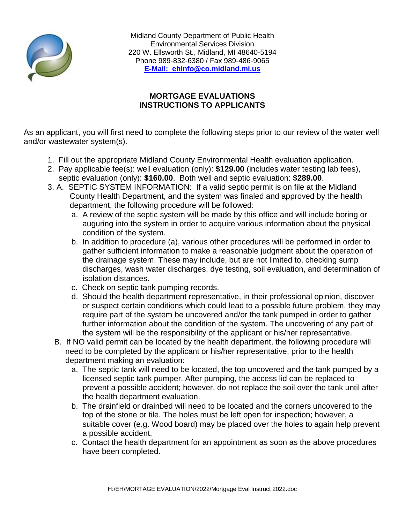

Midland County Department of Public Health Environmental Services Division 220 W. Ellsworth St., Midland, MI 48640-5194 Phone 989-832-6380 / Fax 989-486-9065 **E-Mail: ehinfo@co.midland.mi.us**

## **MORTGAGE EVALUATIONS INSTRUCTIONS TO APPLICANTS**

As an applicant, you will first need to complete the following steps prior to our review of the water well and/or wastewater system(s).

- 1. Fill out the appropriate Midland County Environmental Health evaluation application.
- 2. Pay applicable fee(s): well evaluation (only): **\$129.00** (includes water testing lab fees), septic evaluation (only): **\$160.00**. Both well and septic evaluation: **\$289.00**.
- 3. A. SEPTIC SYSTEM INFORMATION: If a valid septic permit is on file at the Midland County Health Department, and the system was finaled and approved by the health department, the following procedure will be followed:
	- a. A review of the septic system will be made by this office and will include boring or auguring into the system in order to acquire various information about the physical condition of the system.
	- b. In addition to procedure (a), various other procedures will be performed in order to gather sufficient information to make a reasonable judgment about the operation of the drainage system. These may include, but are not limited to, checking sump discharges, wash water discharges, dye testing, soil evaluation, and determination of isolation distances.
	- c. Check on septic tank pumping records.
	- d. Should the health department representative, in their professional opinion, discover or suspect certain conditions which could lead to a possible future problem, they may require part of the system be uncovered and/or the tank pumped in order to gather further information about the condition of the system. The uncovering of any part of the system will be the responsibility of the applicant or his/her representative.
	- B. If NO valid permit can be located by the health department, the following procedure will need to be completed by the applicant or his/her representative, prior to the health department making an evaluation:
		- a. The septic tank will need to be located, the top uncovered and the tank pumped by a licensed septic tank pumper. After pumping, the access lid can be replaced to prevent a possible accident; however, do not replace the soil over the tank until after the health department evaluation.
		- b. The drainfield or drainbed will need to be located and the corners uncovered to the top of the stone or tile. The holes must be left open for inspection; however, a suitable cover (e.g. Wood board) may be placed over the holes to again help prevent a possible accident.
		- c. Contact the health department for an appointment as soon as the above procedures have been completed.